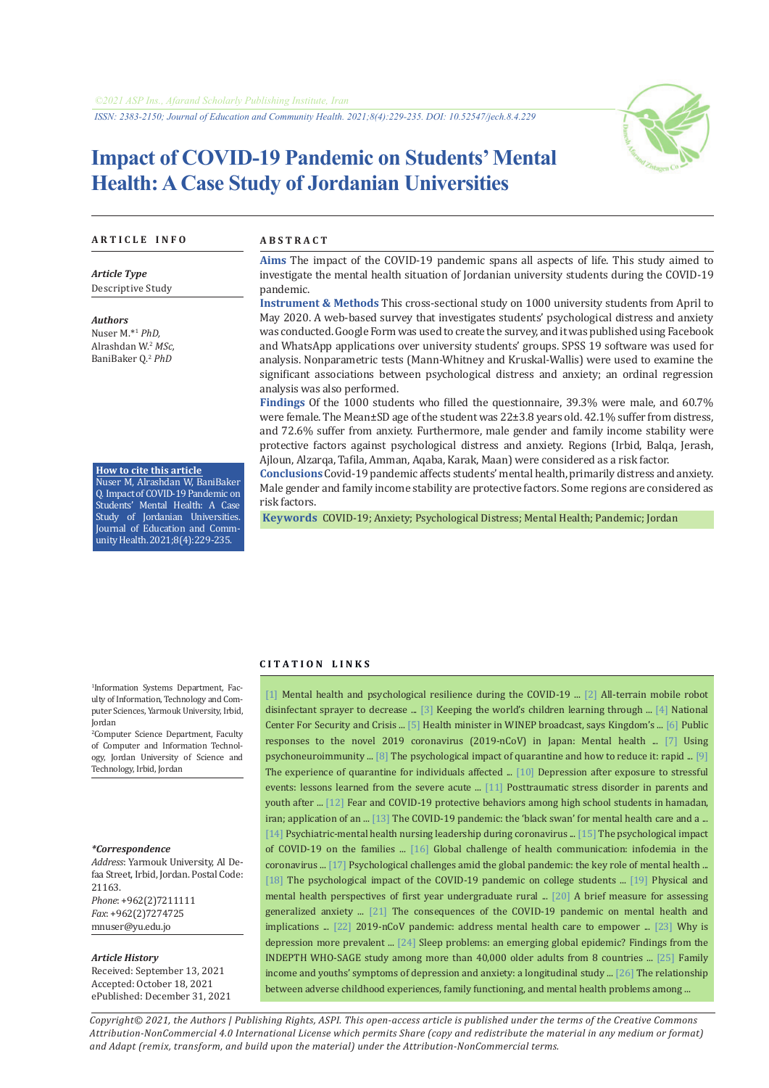# **Impact of COVID-19 Pandemic on Students' Mental Health: A Case Study of Jordanian Universities**



#### **A R T I C L E I N F O A B S T R A C T**

*Article Type* Descriptive Study

*Authors* Nuser M.\*1  *PhD,* Alrashdan W.<sup>2</sup> *MSc,* BaniBaker Q.<sup>2</sup> *PhD*

**How to cite this article** Nuser M, Alrashdan W, BaniBaker Q. Impact of COVID-19 Pandemic on Students' Mental Health: A Case Study of Jordanian Universities. Journal of Education and CommunityHealth.2021;8(4):229-235.

**Aims** The impact of the COVID-19 pandemic spans all aspects of life. This study aimed to investigate the mental health situation of Jordanian university students during the COVID-19 pandemic.

**Instrument & Methods** This cross-sectional study on 1000 university students from April to May 2020. A web-based survey that investigates students' psychological distress and anxiety was conducted. Google Form was used to create the survey, and it was published using Facebook and WhatsApp applications over university students' groups. SPSS 19 software was used for analysis. Nonparametric tests (Mann-Whitney and Kruskal-Wallis) were used to examine the significant associations between psychological distress and anxiety; an ordinal regression analysis was also performed.

**Findings** Of the 1000 students who filled the questionnaire, 39.3% were male, and 60.7% were female. The Mean±SD age of the student was 22±3.8 years old. 42.1% suffer from distress, and 72.6% suffer from anxiety. Furthermore, male gender and family income stability were protective factors against psychological distress and anxiety. Regions (Irbid, Balqa, Jerash, Ajloun, Alzarqa, Tafila, Amman, Aqaba, Karak, Maan) were considered as a risk factor.

**Conclusions** Covid-19 pandemic affects students' mental health, primarily distress and anxiety. Male gender and family income stability are protective factors. Some regions are considered as risk factors.

 **Keywords** [COVID-19;](https://www.ncbi.nlm.nih.gov/mesh/2052180) [Anxiety;](https://www.ncbi.nlm.nih.gov/mesh/68001007) [Psychological Distress](https://www.ncbi.nlm.nih.gov/mesh/2030837); [Mental Health](https://www.ncbi.nlm.nih.gov/mesh/68008603); [Pandemic;](https://www.ncbi.nlm.nih.gov/mesh/68058873) [Jordan](https://www.ncbi.nlm.nih.gov/mesh/68007597)

#### **C I T A T I O N L I N K S**

1 Information Systems Department, Faculty of Information, Technology and Computer Sciences, Yarmouk University, Irbid, Jordan

2 Computer Science Department, Faculty of Computer and Information Technology, Jordan University of Science and Technology, Irbid, Jordan

#### *\*Correspondence*

*Address*: Yarmouk University, Al Defaa Street, Irbid, Jordan. Postal Code: 21163. *Phone*: +962(2)7211111 *Fax*: +962(2)7274725

mnuser@yu.edu.jo

#### *Article History*

Received: September 13, 2021 Accepted: October 18, 2021 ePublished: December 31, 2021

[\[1\]](https://www.euro.who.int/en/health-topics/health-emergencies/coronavirus-covid-19/news/news/2020/3/mental-health-and-psychological-resilience-during-the-covid-19-pandemic) Mental health and psychological resilience during the COVID-19 ... [\[2\]](http://ijece.iaescore.com/index.php/IJECE/article/view/23970) All-terrain mobile robot disinfectant sprayer to decrease ... [\[3\]](https://www.unicef.org/coronavirus/keeping-worlds-children-learning-through-covid-19) Keeping the world's children learning through ... [\[4\]](https://www.ncscm.gov.jo/corona-statistics/?fbclid=IwAR1EABivLdobEQ5kVmYUDWTKyv6bpHncKXON0OZAcmsrZnmHPLGGOlyLYT4) National Center For Security and Crisis ... [[5\]](https://www.jordantimes.com/news/local/health-minister-winep-broadcast-says-kingdoms-epidemiological-situation-%E2%80%98under-control%E2%80%99) Health minister in WINEP broadcast, says Kingdom's ... [[6\]](https://www.researchgate.net/publication/339124678) Public responses to the novel 2019 coronavirus (2019-nCoV) in Japan: Mental health ... [[7\]](https://www.ncbi.nlm.nih.gov/pmc/articles/PMC7194899/) Using psychoneuroimmunity ... [[8](https://www.thelancet.com/journals/lancet/article/PIIS0140-6736(20)30460-8/fulltext)] The psychological impact of quarantine and how to reduce it: rapid ... [[9\]](https://europepmc.org/article/MED/16229732) The experience of quarantine for individuals affected ... [[10](https://www.sciencedirect.com/science/article/pii/S0010440X11000216)] Depression after exposure to stressful events: lessons learned from the severe acute ... [\[11](https://www.researchgate.net/publication/259432942)] Posttraumatic stress disorder in parents and youth after ... [\[12](https://jech.umsha.ac.ir/article-1-1409-en.html)] Fear and COVID-19 protective behaviors among high school students in hamadan, iran; application of an ... [[13\]](https://www.ncbi.nlm.nih.gov/pmc/articles/PMC7104190/) The COVID-19 pandemic: the 'black swan' for mental health care and a ... [\[14](https://onlinelibrary.wiley.com/doi/full/10.1111/jpm.12662)] Psychiatric-mental health nursing leadership during coronavirus ... [\[15](https://www.ncbi.nlm.nih.gov/pmc/articles/PMC7659796/)] The psychological impact of COVID-19 on the families ... [[16\]](http://jech.umsha.ac.ir/browse.php?a_id=1000&sid=1&slc_lang=en) Global challenge of health communication: infodemia in the coronavirus ... [\[17\]](https://jech.umsha.ac.ir/article-1-1319-en.pdf) Psychological challenges amid the global pandemic: the key role of mental health ... [\[18](https://pubmed.ncbi.nlm.nih.gov/32229390/)] The psychological impact of the COVID-19 pandemic on college students ... [[19](https://bmcpublichealth.biomedcentral.com/articles/10.1186/1471-2458-13-848)] Physical and mental health perspectives of first year undergraduate rural ... [\[20](https://pubmed.ncbi.nlm.nih.gov/16717171/)] A brief measure for assessing generalized anxiety ... [[21](https://www.cambridge.org/core/journals/european-psychiatry/article/consequences-of-the-covid19-pandemic-on-mental-health-and-implications-for-clinical-practice/E2826D643255F9D51896673F205ABF28)] The consequences of the COVID-19 pandemic on mental health and implications ... [\[22\]](https://www.thelancet.com/journals/lancet/article/PIIS0140-6736(20)30309-3/fulltext) 2019-nCoV pandemic: address mental health care to empower ... [[23\]](https://www.ncbi.nlm.nih.gov/pmc/articles/PMC4478054/) Why is depression more prevalent ... [[24\]](https://pubmed.ncbi.nlm.nih.gov/22851813/) Sleep problems: an emerging global epidemic? Findings from the INDEPTH WHO-SAGE study among more than 40,000 older adults from 8 countries ... [\[25](https://pubmed.ncbi.nlm.nih.gov/21132845/)] Family income and youths' symptoms of depression and anxiety: a longitudinal study ... [[26](https://onlinelibrary.wiley.com/doi/abs/10.1111/1467-6427.12263)] The relationship between adverse childhood experiences, family functioning, and mental health problems among ...

*Copyright© 2021, the Authors | Publishing Rights, ASPI. This open-access article is published under the terms of the Creative Commons Attribution-NonCommercial 4.0 International License which permits Share (copy and redistribute the material in any medium or format) and Adapt (remix, transform, and build upon the material) under the Attribution-NonCommercial terms.*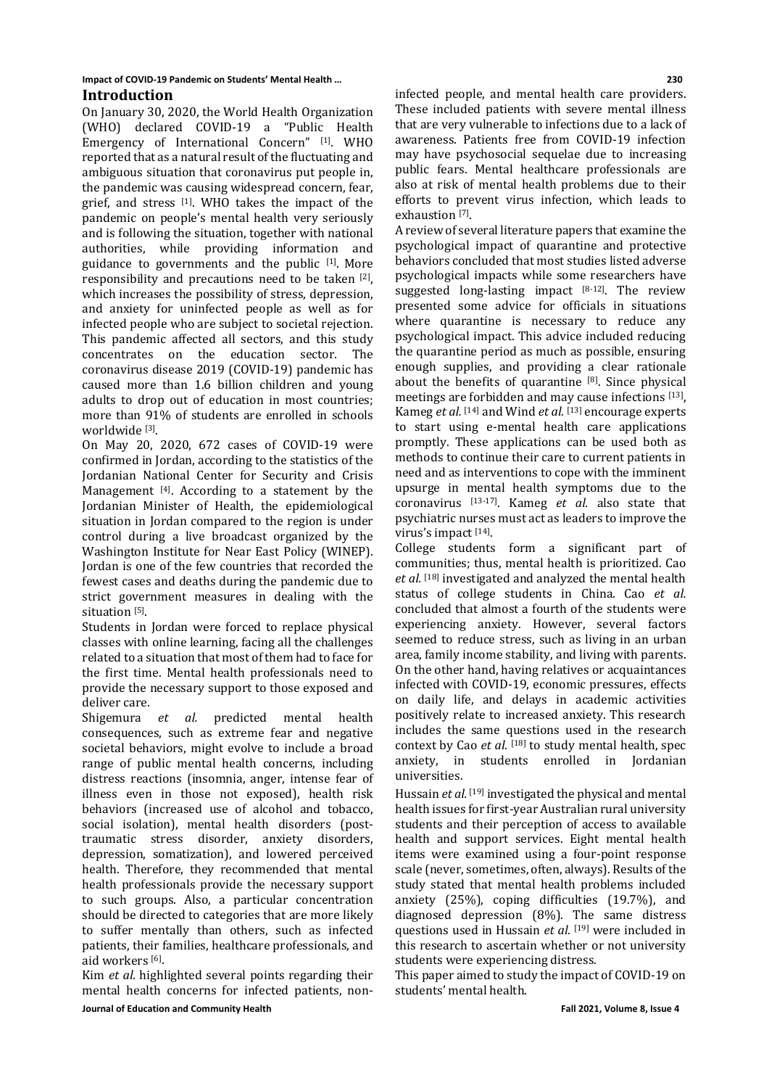# **Impact of COVID-19 Pandemic on Students' Mental Health … 230**

# **Introduction**

On January 30, 2020, the World Health Organization (WHO) declared COVID-19 a "Public Health Emergency of International Concern" [1]. WHO reported that as a natural result of the fluctuating and ambiguous situation that coronavirus put people in, the pandemic was causing widespread concern, fear, grief, and stress  $[1]$ . WHO takes the impact of the pandemic on people's mental health very seriously and is following the situation, together with national authorities, while providing information and guidance to governments and the public  $[1]$ . More responsibility and precautions need to be taken [2], which increases the possibility of stress, depression, and anxiety for uninfected people as well as for infected people who are subject to societal rejection. This pandemic affected all sectors, and this study concentrates on the education sector. The coronavirus disease 2019 (COVID-19) pandemic has caused more than 1.6 billion children and young adults to drop out of education in most countries; more than 91% of students are enrolled in schools worldwide [3].

On May 20, 2020, 672 cases of COVID-19 were confirmed in Jordan, according to the statistics of the Jordanian National Center for Security and Crisis Management [4]. According to a statement by the Jordanian Minister of Health, the epidemiological situation in Jordan compared to the region is under control during a live broadcast organized by the Washington Institute for Near East Policy (WINEP). Jordan is one of the few countries that recorded the fewest cases and deaths during the pandemic due to strict government measures in dealing with the situation [5].

Students in Jordan were forced to replace physical classes with online learning, facing all the challenges related to a situation that most of them had to face for the first time. Mental health professionals need to provide the necessary support to those exposed and deliver care.

Shigemura *et al.* predicted mental health consequences, such as extreme fear and negative societal behaviors, might evolve to include a broad range of public mental health concerns, including distress reactions (insomnia, anger, intense fear of illness even in those not exposed), health risk behaviors (increased use of alcohol and tobacco, social isolation), mental health disorders (posttraumatic stress disorder, anxiety disorders, depression, somatization), and lowered perceived health. Therefore, they recommended that mental health professionals provide the necessary support to such groups. Also, a particular concentration should be directed to categories that are more likely to suffer mentally than others, such as infected patients, their families, healthcare professionals, and aid workers [6].

**Journal of Education and Community Health Fall 2021, Volume 8, Issue 4** Kim *et al.* highlighted several points regarding their mental health concerns for infected patients, non-

infected people, and mental health care providers. These included patients with severe mental illness that are very vulnerable to infections due to a lack of awareness. Patients free from COVID-19 infection may have psychosocial sequelae due to increasing public fears. Mental healthcare professionals are also at risk of mental health problems due to their efforts to prevent virus infection, which leads to exhaustion [7].

A review of several literature papers that examine the psychological impact of quarantine and protective behaviors concluded that most studies listed adverse psychological impacts while some researchers have suggested long-lasting impact  $[8-12]$ . The review presented some advice for officials in situations where quarantine is necessary to reduce any psychological impact. This advice included reducing the quarantine period as much as possible, ensuring enough supplies, and providing a clear rationale about the benefits of quarantine [8]. Since physical meetings are forbidden and may cause infections [13], Kameg *et al.* [14] and Wind *et al.* [13] encourage experts to start using e-mental health care applications promptly. These applications can be used both as methods to continue their care to current patients in need and as interventions to cope with the imminent upsurge in mental health symptoms due to the coronavirus [13-17]. Kameg *et al.* also state that psychiatric nurses must act as leaders to improve the virus's impact [14].

College students form a significant part of communities; thus, mental health is prioritized. Cao *et al.* [18] investigated and analyzed the mental health status of college students in China. Cao *et al.* concluded that almost a fourth of the students were experiencing anxiety. However, several factors seemed to reduce stress, such as living in an urban area, family income stability, and living with parents. On the other hand, having relatives or acquaintances infected with COVID-19, economic pressures, effects on daily life, and delays in academic activities positively relate to increased anxiety. This research includes the same questions used in the research context by Cao *et al.* [18] to study mental health, spec anxiety, in students enrolled in Jordanian universities.

Hussain *et al.* [19] investigated the physical and mental health issues for first-year Australian rural university students and their perception of access to available health and support services. Eight mental health items were examined using a four-point response scale (never, sometimes, often, always). Results of the study stated that mental health problems included anxiety (25%), coping difficulties (19.7%), and diagnosed depression (8%). The same distress questions used in Hussain *et al.* [19] were included in this research to ascertain whether or not university students were experiencing distress.

This paper aimed to study the impact of COVID-19 on students' mental health.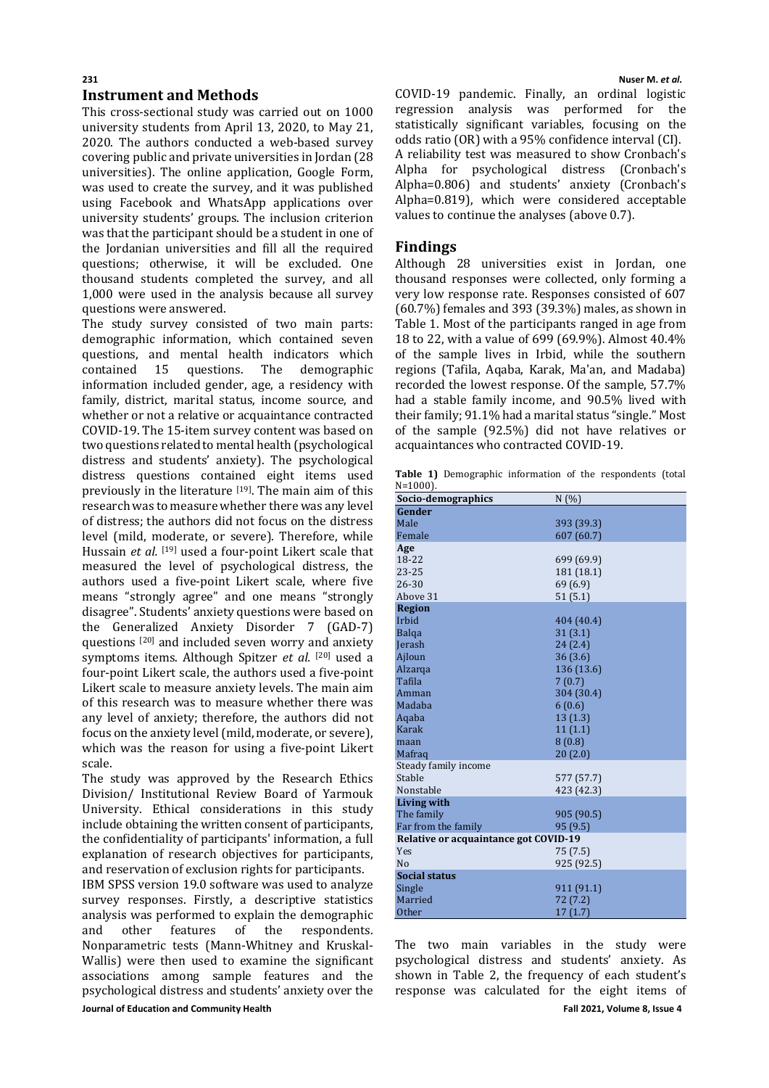#### **231 Nuser M.** *et al.* **Instrument and Methods**

This cross-sectional study was carried out on 1000 university students from April 13, 2020, to May 21, 2020. The authors conducted a web-based survey covering public and private universities in Jordan (28 universities). The online application, Google Form, was used to create the survey, and it was published using Facebook and WhatsApp applications over university students' groups. The inclusion criterion was that the participant should be a student in one of the Jordanian universities and fill all the required questions; otherwise, it will be excluded. One thousand students completed the survey, and all 1,000 were used in the analysis because all survey questions were answered.

The study survey consisted of two main parts: demographic information, which contained seven questions, and mental health indicators which<br>contained 15 questions. The demographic demographic information included gender, age, a residency with family, district, marital status, income source, and whether or not a relative or acquaintance contracted COVID-19. The 15-item survey content was based on two questions related to mental health (psychological distress and students' anxiety). The psychological distress questions contained eight items used previously in the literature  $[19]$ . The main aim of this research was to measure whether there was any level of distress; the authors did not focus on the distress level (mild, moderate, or severe). Therefore, while Hussain *et al.* [19] used a four-point Likert scale that measured the level of psychological distress, the authors used a five-point Likert scale, where five means "strongly agree" and one means "strongly disagree". Students' anxiety questions were based on the Generalized Anxiety Disorder 7 (GAD-7) questions [20] and included seven worry and anxiety symptoms items. Although Spitzer *et al.* [20] used a four-point Likert scale, the authors used a five-point Likert scale to measure anxiety levels. The main aim of this research was to measure whether there was any level of anxiety; therefore, the authors did not focus on the anxiety level (mild, moderate, or severe), which was the reason for using a five-point Likert scale.

The study was approved by the Research Ethics Division/ Institutional Review Board of Yarmouk University. Ethical considerations in this study include obtaining the written consent of participants, the confidentiality of participants' information, a full explanation of research objectives for participants, and reservation of exclusion rights for participants.

**Journal of Education and Community Health Fall 2021, Volume 8, Issue 4** IBM SPSS version 19.0 software was used to analyze survey responses. Firstly, a descriptive statistics analysis was performed to explain the demographic<br>and other features of the respondents. and other features of the respondents. Nonparametric tests (Mann-Whitney and Kruskal-Wallis) were then used to examine the significant associations among sample features and the psychological distress and students' anxiety over the

COVID-19 pandemic. Finally, an ordinal logistic regression analysis was performed for the statistically significant variables, focusing on the odds ratio (OR) with a 95% confidence interval (CI). A reliability test was measured to show Cronbach's Alpha for psychological distress (Cronbach's Alpha=0.806) and students' anxiety (Cronbach's Alpha=0.819), which were considered acceptable values to continue the analyses (above 0.7).

# **Findings**

Although 28 universities exist in Jordan, one thousand responses were collected, only forming a very low response rate. Responses consisted of 607 (60.7%) females and 393 (39.3%) males, as shown in Table 1. Most of the participants ranged in age from 18 to 22, with a value of 699 (69.9%). Almost 40.4% of the sample lives in Irbid, while the southern regions (Tafila, Aqaba, Karak, Ma'an, and Madaba) recorded the lowest response. Of the sample, 57.7% had a stable family income, and 90.5% lived with their family; 91.1% had a marital status "single." Most of the sample (92.5%) did not have relatives or acquaintances who contracted COVID-19.

**Table 1)** Demographic information of the respondents (total <u>N=1000)</u>.

| IN=1000J.<br>Socio-demographics       | N(%)       |  |  |  |  |
|---------------------------------------|------------|--|--|--|--|
| Gender                                |            |  |  |  |  |
| Male                                  |            |  |  |  |  |
| Female                                | 393 (39.3) |  |  |  |  |
|                                       | 607(60.7)  |  |  |  |  |
| Age                                   |            |  |  |  |  |
| 18-22                                 | 699 (69.9) |  |  |  |  |
| 23-25                                 | 181 (18.1) |  |  |  |  |
| 26-30                                 | 69 (6.9)   |  |  |  |  |
| Above 31                              | 51(5.1)    |  |  |  |  |
| Region                                |            |  |  |  |  |
| Irbid                                 | 404 (40.4) |  |  |  |  |
| <b>Balga</b>                          | 31 (3.1)   |  |  |  |  |
| Jerash                                | 24(2.4)    |  |  |  |  |
| Ajloun                                | 36(3.6)    |  |  |  |  |
| Alzarqa                               | 136 (13.6) |  |  |  |  |
| Tafila                                | 7(0.7)     |  |  |  |  |
| Amman                                 | 304 (30.4) |  |  |  |  |
| Madaba                                | 6(0.6)     |  |  |  |  |
| Aqaba                                 | 13(1.3)    |  |  |  |  |
| Karak                                 | 11(1.1)    |  |  |  |  |
| maan                                  | 8(0.8)     |  |  |  |  |
| Mafrag                                | 20(2.0)    |  |  |  |  |
| Steady family income                  |            |  |  |  |  |
| Stable                                | 577 (57.7) |  |  |  |  |
| Nonstable                             | 423 (42.3) |  |  |  |  |
| Living with                           |            |  |  |  |  |
| The family                            | 905 (90.5) |  |  |  |  |
| Far from the family                   | 95 (9.5)   |  |  |  |  |
| Relative or acquaintance got COVID-19 |            |  |  |  |  |
| Yes                                   | 75 (7.5)   |  |  |  |  |
| No                                    | 925 (92.5) |  |  |  |  |
| <b>Social status</b>                  |            |  |  |  |  |
| Single                                | 911 (91.1) |  |  |  |  |
| Married                               | 72 (7.2)   |  |  |  |  |
| <b>Other</b>                          | 17(1.7)    |  |  |  |  |

The two main variables in the study were psychological distress and students' anxiety. As shown in Table 2, the frequency of each student's response was calculated for the eight items of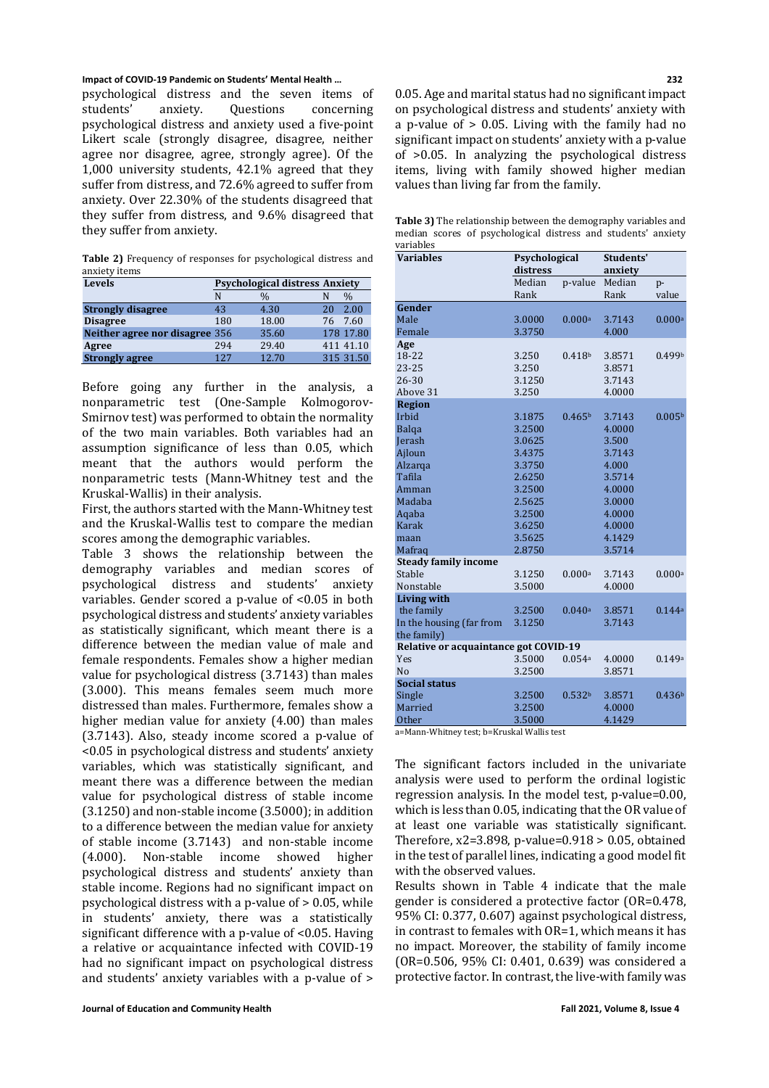## **Impact of COVID-19 Pandemic on Students' Mental Health … 232**

psychological distress and the seven items of<br>students' anxiety. Ouestions concerning students' anxiety. Questions concerning psychological distress and anxiety used a five-point Likert scale (strongly disagree, disagree, neither agree nor disagree, agree, strongly agree). Of the 1,000 university students, 42.1% agreed that they suffer from distress, and 72.6% agreed to suffer from anxiety. Over 22.30% of the students disagreed that they suffer from distress, and 9.6% disagreed that they suffer from anxiety.

**Table 2)** Frequency of responses for psychological distress and anxiety items

| Levels                         | <b>Psychological distress Anxiety</b> |               |    |           |  |  |  |
|--------------------------------|---------------------------------------|---------------|----|-----------|--|--|--|
|                                | N                                     | $\frac{0}{0}$ |    | $\%$      |  |  |  |
| <b>Strongly disagree</b>       | 43                                    | 4.30          | 20 | 2.00      |  |  |  |
| <b>Disagree</b>                | 180                                   | 18.00         | 76 | 7.60      |  |  |  |
| Neither agree nor disagree 356 |                                       | 35.60         |    | 178 17.80 |  |  |  |
| Agree                          | 294                                   | 29.40         |    | 411 41.10 |  |  |  |
| <b>Strongly agree</b>          | 127                                   | 12.70         |    | 315 31.50 |  |  |  |

Before going any further in the analysis, a nonparametric test (One-Sample Kolmogorov-Smirnov test) was performed to obtain the normality of the two main variables. Both variables had an assumption significance of less than 0.05, which meant that the authors would perform the nonparametric tests (Mann-Whitney test and the Kruskal-Wallis) in their analysis.

First, the authors started with the Mann-Whitney test and the Kruskal-Wallis test to compare the median scores among the demographic variables.

Table 3 shows the relationship between the demography variables and median scores of<br>psychological distress and students' anxiety psychological distress and students' variables. Gender scored a p-value of <0.05 in both psychological distress and students' anxiety variables as statistically significant, which meant there is a difference between the median value of male and female respondents. Females show a higher median value for psychological distress (3.7143) than males (3.000). This means females seem much more distressed than males. Furthermore, females show a higher median value for anxiety (4.00) than males (3.7143). Also, steady income scored a p-value of <0.05 in psychological distress and students' anxiety variables, which was statistically significant, and meant there was a difference between the median value for psychological distress of stable income (3.1250) and non-stable income (3.5000); in addition to a difference between the median value for anxiety of stable income (3.7143) and non-stable income<br>(4.000). Non-stable income showed higher Non-stable income psychological distress and students' anxiety than stable income. Regions had no significant impact on psychological distress with a p-value of > 0.05, while in students' anxiety, there was a statistically significant difference with a p-value of <0.05. Having a relative or acquaintance infected with COVID-19 had no significant impact on psychological distress and students' anxiety variables with a p-value of >

0.05. Age and marital status had no significant impact on psychological distress and students' anxiety with a p-value of > 0.05. Living with the family had no significant impact on students' anxiety with a p-value of >0.05. In analyzing the psychological distress items, living with family showed higher median values than living far from the family.

| <b>Table 3)</b> The relationship between the demography variables and |  |                                                               |  |  |  |  |
|-----------------------------------------------------------------------|--|---------------------------------------------------------------|--|--|--|--|
|                                                                       |  | median scores of psychological distress and students' anxiety |  |  |  |  |
| variables                                                             |  |                                                               |  |  |  |  |

| <b>Variables</b>                      | Psychological    |                    | Students'        |                    |  |  |  |
|---------------------------------------|------------------|--------------------|------------------|--------------------|--|--|--|
|                                       | distress         |                    | anxiety          |                    |  |  |  |
|                                       | Median           | p-value            | Median           | p-                 |  |  |  |
|                                       | Rank             |                    | Rank             | value              |  |  |  |
| Gender                                |                  |                    |                  |                    |  |  |  |
| Male                                  | 3.0000           | 0.000a             | 3.7143           | 0.000a             |  |  |  |
| Female                                | 3.3750           |                    | 4.000            |                    |  |  |  |
| Age                                   |                  |                    |                  |                    |  |  |  |
| 18-22                                 | 3.250            | 0.418 <sup>b</sup> | 3.8571           | 0.499b             |  |  |  |
| $23 - 25$                             | 3.250            |                    | 3.8571           |                    |  |  |  |
| 26-30                                 | 3.1250           |                    | 3.7143           |                    |  |  |  |
| Above 31                              | 3.250            |                    | 4.0000           |                    |  |  |  |
| <b>Region</b>                         |                  |                    |                  |                    |  |  |  |
| Irbid                                 | 3.1875           | 0.465 <sup>b</sup> | 3.7143           | 0.005 <sup>b</sup> |  |  |  |
| Balga                                 | 3.2500           |                    | 4.0000           |                    |  |  |  |
| Jerash                                | 3.0625           |                    | 3.500            |                    |  |  |  |
| Ajloun                                | 3.4375           |                    | 3.7143           |                    |  |  |  |
| Alzarga<br>Tafila                     | 3.3750           |                    | 4.000            |                    |  |  |  |
| Amman                                 | 2.6250           |                    | 3.5714<br>4.0000 |                    |  |  |  |
| Madaba                                | 3.2500<br>2.5625 |                    | 3.0000           |                    |  |  |  |
| Aqaba                                 | 3.2500           |                    | 4.0000           |                    |  |  |  |
| Karak                                 | 3.6250           |                    | 4.0000           |                    |  |  |  |
| maan                                  | 3.5625           |                    | 4.1429           |                    |  |  |  |
| Mafrag                                | 2.8750           |                    | 3.5714           |                    |  |  |  |
| <b>Steady family income</b>           |                  |                    |                  |                    |  |  |  |
| Stable                                | 3.1250           | 0.000a             | 3.7143           | 0.000a             |  |  |  |
| Nonstable                             | 3.5000           |                    | 4.0000           |                    |  |  |  |
| <b>Living with</b>                    |                  |                    |                  |                    |  |  |  |
| the family                            | 3.2500           | 0.040a             | 3.8571           | 0.144a             |  |  |  |
| In the housing (far from              | 3.1250           |                    | 3.7143           |                    |  |  |  |
| the family)                           |                  |                    |                  |                    |  |  |  |
| Relative or acquaintance got COVID-19 |                  |                    |                  |                    |  |  |  |
| Yes                                   | 3.5000           | 0.054a             | 4.0000           | 0.149a             |  |  |  |
| N <sub>o</sub>                        | 3.2500           |                    | 3.8571           |                    |  |  |  |
| <b>Social status</b>                  |                  |                    |                  |                    |  |  |  |
| Single                                | 3.2500           | 0.532 <sup>b</sup> | 3.8571           | 0.436 <sup>b</sup> |  |  |  |
| Married                               | 3.2500           |                    | 4.0000           |                    |  |  |  |
| <b>Other</b>                          | 3.5000           |                    | 4.1429           |                    |  |  |  |
|                                       |                  |                    |                  |                    |  |  |  |

a=Mann-Whitney test; b=Kruskal Wallis test

The significant factors included in the univariate analysis were used to perform the ordinal logistic regression analysis. In the model test, p-value=0.00, which is less than 0.05, indicating that the OR value of at least one variable was statistically significant. Therefore, x2=3.898, p-value=0.918 > 0.05, obtained in the test of parallel lines, indicating a good model fit with the observed values.

Results shown in Table 4 indicate that the male gender is considered a protective factor (OR=0.478, 95% CI: 0.377, 0.607) against psychological distress, in contrast to females with OR=1, which means it has no impact. Moreover, the stability of family income (OR=0.506, 95% CI: 0.401, 0.639) was considered a protective factor. In contrast, the live-with family was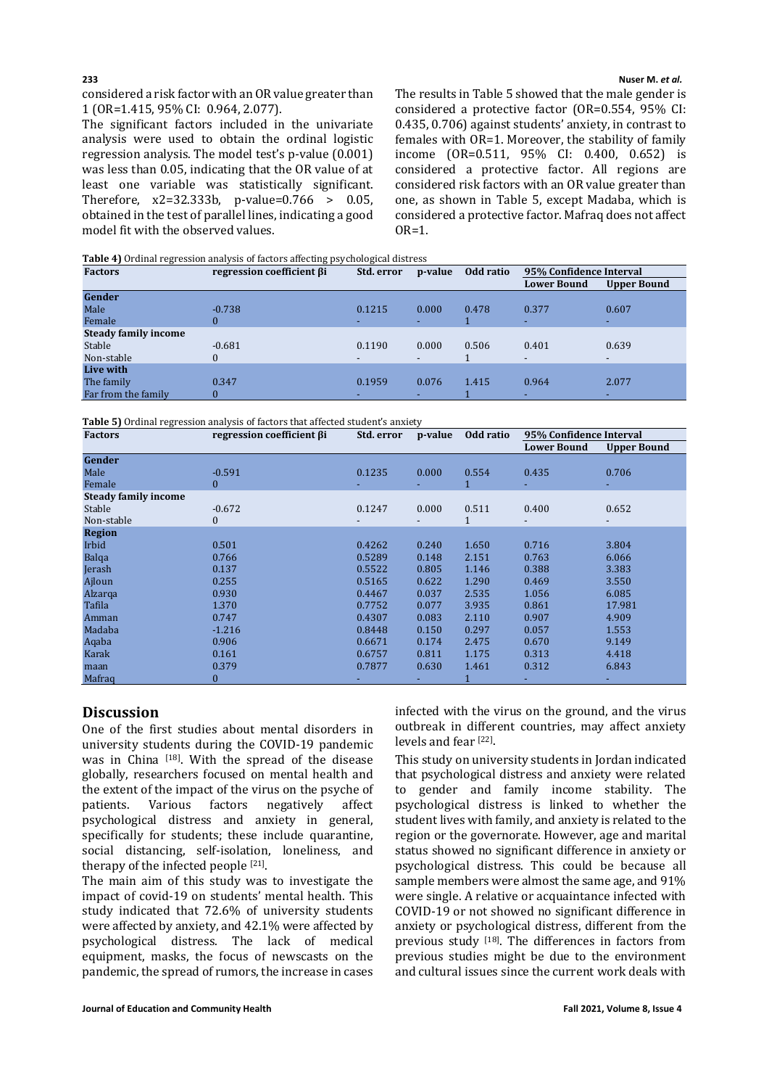## **233 Nuser M.** *et al.*

considered a risk factor with an OR value greater than 1 (OR=1.415, 95% CI: 0.964, 2.077).

The significant factors included in the univariate analysis were used to obtain the ordinal logistic regression analysis. The model test's p-value (0.001) was less than 0.05, indicating that the OR value of at least one variable was statistically significant. Therefore, x2=32.333b, p-value=0.766 > 0.05, obtained in the test of parallel lines, indicating a good model fit with the observed values.

The results in Table 5 showed that the male gender is considered a protective factor (OR=0.554, 95% CI: 0.435, 0.706) against students' anxiety, in contrast to females with OR=1. Moreover, the stability of family income (OR=0.511, 95% CI: 0.400, 0.652) is considered a protective factor. All regions are considered risk factors with an OR value greater than one, as shown in Table 5, except Madaba, which is considered a protective factor. Mafraq does not affect  $OR=1$ .

**Table 4)** Ordinal regression analysis of factors affecting psychological distress

| <b>Factors</b>              | regression coefficient βi | Std. error               | p-value                  | Odd ratio | 95% Confidence Interval  |             |
|-----------------------------|---------------------------|--------------------------|--------------------------|-----------|--------------------------|-------------|
|                             |                           |                          |                          |           | <b>Lower Bound</b>       | Upper Bound |
| Gender                      |                           |                          |                          |           |                          |             |
| Male                        | $-0.738$                  | 0.1215                   | 0.000                    | 0.478     | 0.377                    | 0.607       |
| Female                      | 0                         | ٠                        |                          |           |                          | ٠           |
| <b>Steady family income</b> |                           |                          |                          |           |                          |             |
| Stable                      | $-0.681$                  | 0.1190                   | 0.000                    | 0.506     | 0.401                    | 0.639       |
| Non-stable                  | 0                         | $\overline{\phantom{a}}$ | $\overline{\phantom{0}}$ |           | $\overline{\phantom{0}}$ | ۰.          |
| Live with                   |                           |                          |                          |           |                          |             |
| The family                  | 0.347                     | 0.1959                   | 0.076                    | 1.415     | 0.964                    | 2.077       |
| Far from the family         | 0                         | ۰.                       |                          |           |                          | ۰.          |

**Table 5)** Ordinal regression analysis of factors that affected student's anxiety

| <b>Factors</b>              | regression coefficient βi | Std. error | p-value | Odd ratio | 95% Confidence Interval |                    |
|-----------------------------|---------------------------|------------|---------|-----------|-------------------------|--------------------|
|                             |                           |            |         |           | <b>Lower Bound</b>      | <b>Upper Bound</b> |
| <b>Gender</b>               |                           |            |         |           |                         |                    |
| Male                        | $-0.591$                  | 0.1235     | 0.000   | 0.554     | 0.435                   | 0.706              |
| Female                      | $\mathbf{0}$              |            |         | 1         |                         |                    |
| <b>Steady family income</b> |                           |            |         |           |                         |                    |
| Stable                      | $-0.672$                  | 0.1247     | 0.000   | 0.511     | 0.400                   | 0.652              |
| Non-stable                  | $\boldsymbol{0}$          |            |         |           |                         |                    |
| <b>Region</b>               |                           |            |         |           |                         |                    |
| Irbid                       | 0.501                     | 0.4262     | 0.240   | 1.650     | 0.716                   | 3.804              |
| Balga                       | 0.766                     | 0.5289     | 0.148   | 2.151     | 0.763                   | 6.066              |
| Jerash                      | 0.137                     | 0.5522     | 0.805   | 1.146     | 0.388                   | 3.383              |
| Ajloun                      | 0.255                     | 0.5165     | 0.622   | 1.290     | 0.469                   | 3.550              |
| Alzarga                     | 0.930                     | 0.4467     | 0.037   | 2.535     | 1.056                   | 6.085              |
| Tafila                      | 1.370                     | 0.7752     | 0.077   | 3.935     | 0.861                   | 17.981             |
| Amman                       | 0.747                     | 0.4307     | 0.083   | 2.110     | 0.907                   | 4.909              |
| Madaba                      | $-1.216$                  | 0.8448     | 0.150   | 0.297     | 0.057                   | 1.553              |
| Aqaba                       | 0.906                     | 0.6671     | 0.174   | 2.475     | 0.670                   | 9.149              |
| Karak                       | 0.161                     | 0.6757     | 0.811   | 1.175     | 0.313                   | 4.418              |
| maan                        | 0.379                     | 0.7877     | 0.630   | 1.461     | 0.312                   | 6.843              |
| Mafraq                      | 0                         |            |         |           |                         |                    |

# **Discussion**

One of the first studies about mental disorders in university students during the COVID-19 pandemic was in China [18]. With the spread of the disease globally, researchers focused on mental health and the extent of the impact of the virus on the psyche of<br>patients. Various factors negatively affect patients. Various factors negatively affect psychological distress and anxiety in general, specifically for students; these include quarantine, social distancing, self-isolation, loneliness, and therapy of the infected people [21].

The main aim of this study was to investigate the impact of covid-19 on students' mental health. This study indicated that 72.6% of university students were affected by anxiety, and 42.1% were affected by psychological distress. The lack of medical equipment, masks, the focus of newscasts on the pandemic, the spread of rumors, the increase in cases infected with the virus on the ground, and the virus outbreak in different countries, may affect anxiety levels and fear [22].

This study on university students in Jordan indicated that psychological distress and anxiety were related to gender and family income stability. The psychological distress is linked to whether the student lives with family, and anxiety is related to the region or the governorate. However, age and marital status showed no significant difference in anxiety or psychological distress. This could be because all sample members were almost the same age, and 91% were single. A relative or acquaintance infected with COVID-19 or not showed no significant difference in anxiety or psychological distress, different from the previous study [18]. The differences in factors from previous studies might be due to the environment and cultural issues since the current work deals with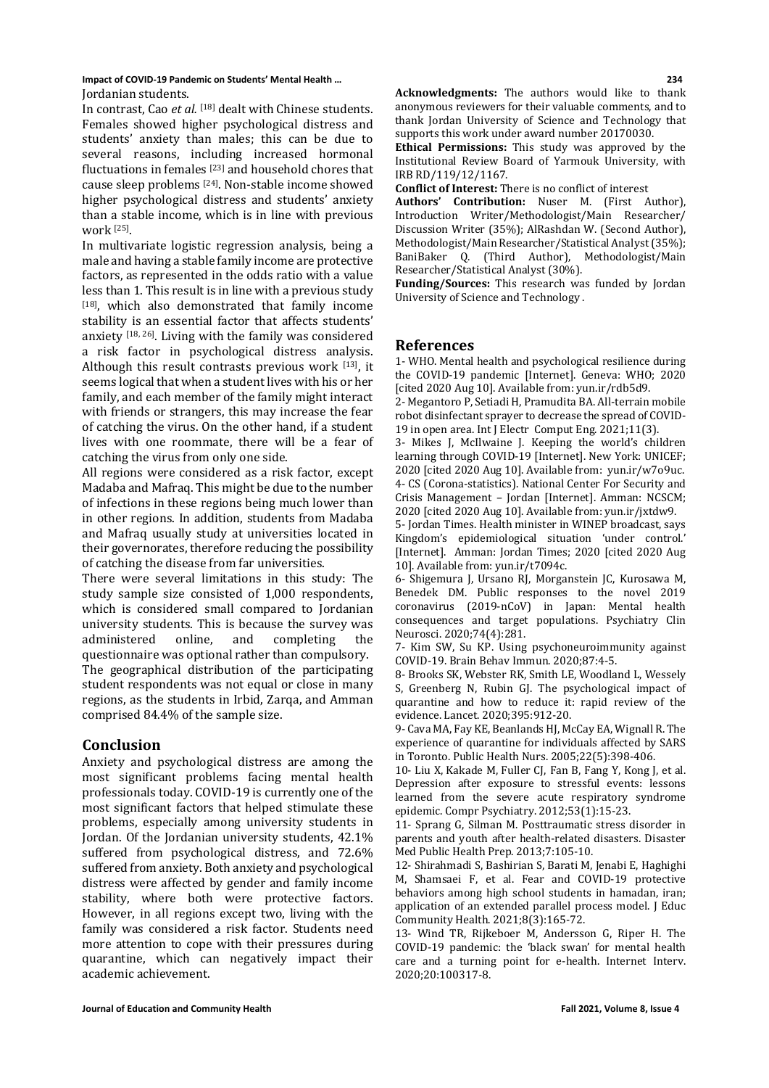**Impact of COVID-19 Pandemic on Students' Mental Health … 234** Jordanian students.

In contrast, Cao *et al.* [18] dealt with Chinese students. Females showed higher psychological distress and students' anxiety than males; this can be due to several reasons, including increased hormonal fluctuations in females [23] and household chores that cause sleep problems [24]. Non-stable income showed higher psychological distress and students' anxiety than a stable income, which is in line with previous work [25].

In multivariate logistic regression analysis, being a male and having a stable family income are protective factors, as represented in the odds ratio with a value less than 1. This result is in line with a previous study [18], which also demonstrated that family income stability is an essential factor that affects students' anxiety [18, 26]. Living with the family was considered a risk factor in psychological distress analysis. Although this result contrasts previous work [13], it seems logical that when a student lives with his or her family, and each member of the family might interact with friends or strangers, this may increase the fear of catching the virus. On the other hand, if a student lives with one roommate, there will be a fear of catching the virus from only one side.

All regions were considered as a risk factor, except Madaba and Mafraq. This might be due to the number of infections in these regions being much lower than in other regions. In addition, students from Madaba and Mafraq usually study at universities located in their governorates, therefore reducing the possibility of catching the disease from far universities.

There were several limitations in this study: The study sample size consisted of 1,000 respondents, which is considered small compared to Jordanian university students. This is because the survey was<br>administered online, and completing the administered questionnaire was optional rather than compulsory. The geographical distribution of the participating student respondents was not equal or close in many regions, as the students in Irbid, Zarqa, and Amman comprised 84.4% of the sample size.

# **Conclusion**

Anxiety and psychological distress are among the most significant problems facing mental health professionals today. COVID-19 is currently one of the most significant factors that helped stimulate these problems, especially among university students in Jordan. Of the Jordanian university students, 42.1% suffered from psychological distress, and 72.6% suffered from anxiety. Both anxiety and psychological distress were affected by gender and family income stability, where both were protective factors. However, in all regions except two, living with the family was considered a risk factor. Students need more attention to cope with their pressures during quarantine, which can negatively impact their academic achievement.

**Acknowledgments:** The authors would like to thank anonymous reviewers for their valuable comments, and to thank Jordan University of Science and Technology that supports this work under award number 20170030.

**Ethical Permissions:** This study was approved by the Institutional Review Board of Yarmouk University, with IRB RD/119/12/1167.

**Conflict of Interest:** There is no conflict of interest

**Authors' Contribution:** Nuser M. (First Author), Introduction Writer/Methodologist/Main Researcher/ Discussion Writer (35%); AlRashdan W. (Second Author), Methodologist/Main Researcher/Statistical Analyst (35%); BaniBaker Q. (Third Author), Methodologist/Main Researcher/Statistical Analyst (30%).

**Funding/Sources:** This research was funded by Jordan University of Science and Technology .

## **References**

1- WHO. Mental health and psychological resilience during the COVID-19 pandemic [Internet]. Geneva: WHO; 2020 [cited 2020 Aug 10]. Available from: yun.ir/rdb5d9.

2- Megantoro P, Setiadi H, Pramudita BA. All-terrain mobile robot disinfectant sprayer to decrease the spread of COVID-19 in open area. Int J Electr Comput Eng. 2021;11(3).

3- Mikes J, McIlwaine J. Keeping the world's children learning through COVID-19 [Internet]. New York: UNICEF; 2020 [cited 2020 Aug 10]. Available from: yun.ir/w7o9uc. 4- CS (Corona-statistics). National Center For Security and Crisis Management – Jordan [Internet]. Amman: NCSCM; 2020 [cited 2020 Aug 10]. Available from: yun.ir/jxtdw9.

5- Jordan Times. Health minister in WINEP broadcast, says Kingdom's epidemiological situation 'under control.' [Internet]. Amman: Jordan Times; 2020 [cited 2020 Aug 10]. Available from: yun.ir/t7094c.

6- Shigemura J, Ursano RJ, Morganstein JC, Kurosawa M, Benedek DM. Public responses to the novel 2019 coronavirus (2019-nCoV) in Japan: Mental health consequences and target populations. Psychiatry Clin Neurosci. 2020;74(4):281.

7- Kim SW, Su KP. Using psychoneuroimmunity against COVID-19. Brain Behav Immun. 2020;87:4-5.

8- Brooks SK, Webster RK, Smith LE, Woodland L, Wessely S, Greenberg N, Rubin GJ. The psychological impact of quarantine and how to reduce it: rapid review of the evidence. Lancet. 2020;395:912-20.

9- Cava MA, Fay KE, Beanlands HJ, McCay EA, Wignall R. The experience of quarantine for individuals affected by SARS in Toronto. Public Health Nurs. 2005;22(5):398-406.

10- Liu X, Kakade M, Fuller CJ, Fan B, Fang Y, Kong J, et al. Depression after exposure to stressful events: lessons learned from the severe acute respiratory syndrome epidemic. Compr Psychiatry. 2012;53(1):15-23.

11- Sprang G, Silman M. Posttraumatic stress disorder in parents and youth after health-related disasters. Disaster Med Public Health Prep. 2013;7:105-10.

12- Shirahmadi S, Bashirian S, Barati M, Jenabi E, Haghighi M, Shamsaei F, et al. Fear and COVID-19 protective behaviors among high school students in hamadan, iran; application of an extended parallel process model. J Educ Community Health. 2021;8(3):165-72.

13- Wind TR, Rijkeboer M, Andersson G, Riper H. The COVID-19 pandemic: the 'black swan' for mental health care and a turning point for e-health. Internet Interv. 2020;20:100317-8.